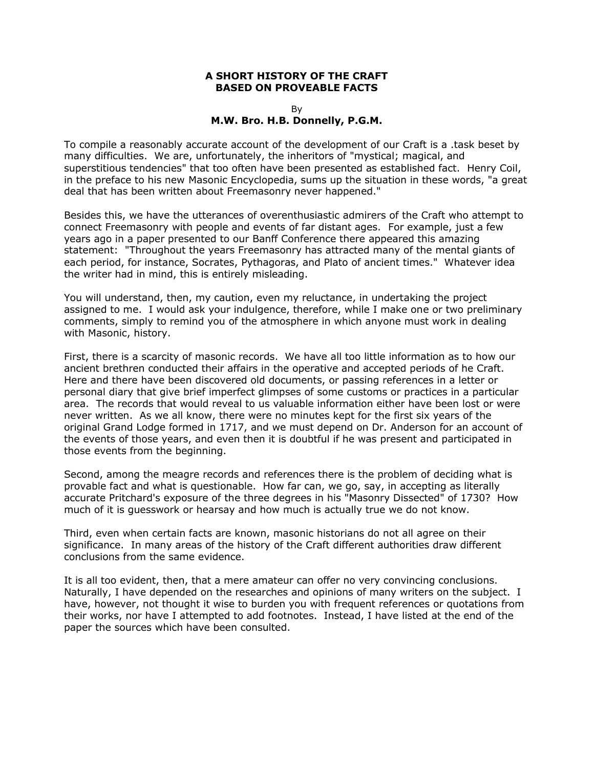### **A SHORT HISTORY OF THE CRAFT BASED ON PROVEABLE FACTS**

#### By **M.W. Bro. H.B. Donnelly, P.G.M.**

To compile a reasonably accurate account of the development of our Craft is a .task beset by many difficulties. We are, unfortunately, the inheritors of "mystical; magical, and superstitious tendencies" that too often have been presented as established fact. Henry Coil, in the preface to his new Masonic Encyclopedia, sums up the situation in these words, "a great deal that has been written about Freemasonry never happened."

Besides this, we have the utterances of overenthusiastic admirers of the Craft who attempt to connect Freemasonry with people and events of far distant ages. For example, just a few years ago in a paper presented to our Banff Conference there appeared this amazing statement: "Throughout the years Freemasonry has attracted many of the mental giants of each period, for instance, Socrates, Pythagoras, and Plato of ancient times." Whatever idea the writer had in mind, this is entirely misleading.

You will understand, then, my caution, even my reluctance, in undertaking the project assigned to me. I would ask your indulgence, therefore, while I make one or two preliminary comments, simply to remind you of the atmosphere in which anyone must work in dealing with Masonic, history.

First, there is a scarcity of masonic records. We have all too little information as to how our ancient brethren conducted their affairs in the operative and accepted periods of he Craft. Here and there have been discovered old documents, or passing references in a letter or personal diary that give brief imperfect glimpses of some customs or practices in a particular area. The records that would reveal to us valuable information either have been lost or were never written. As we all know, there were no minutes kept for the first six years of the original Grand Lodge formed in 1717, and we must depend on Dr. Anderson for an account of the events of those years, and even then it is doubtful if he was present and participated in those events from the beginning.

Second, among the meagre records and references there is the problem of deciding what is provable fact and what is questionable. How far can, we go, say, in accepting as literally accurate Pritchard's exposure of the three degrees in his "Masonry Dissected" of 1730? How much of it is guesswork or hearsay and how much is actually true we do not know.

Third, even when certain facts are known, masonic historians do not all agree on their significance. In many areas of the history of the Craft different authorities draw different conclusions from the same evidence.

It is all too evident, then, that a mere amateur can offer no very convincing conclusions. Naturally, I have depended on the researches and opinions of many writers on the subject. I have, however, not thought it wise to burden you with frequent references or quotations from their works, nor have I attempted to add footnotes. Instead, I have listed at the end of the paper the sources which have been consulted.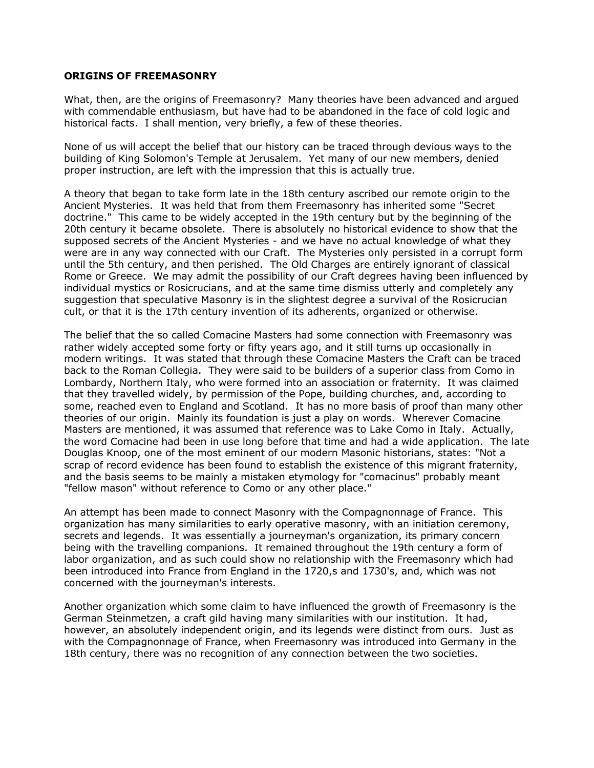### **ORIGINS OF FREEMASONRY**

What, then, are the origins of Freemasonry? Many theories have been advanced and argued with commendable enthusiasm, but have had to be abandoned in the face of cold logic and historical facts. I shall mention, very briefly, a few of these theories.

None of us will accept the belief that our history can be traced through devious ways to the building of King Solomon's Temple at Jerusalem. Yet many of our new members, denied proper instruction, are left with the impression that this is actually true.

A theory that began to take form late in the 18th century ascribed our remote origin to the Ancient Mysteries. It was held that from them Freemasonry has inherited some "Secret doctrine." This came to be widely accepted in the 19th century but by the beginning of the 20th century it became obsolete. There is absolutely no historical evidence to show that the supposed secrets of the Ancient Mysteries - and we have no actual knowledge of what they were are in any way connected with our Craft. The Mysteries only persisted in a corrupt form until the 5th century, and then perished. The Old Charges are entirely ignorant of classical Rome or Greece. We may admit the possibility of our Craft degrees having been influenced by individual mystics or Rosicrucians, and at the same time dismiss utterly and completely any suggestion that speculative Masonry is in the slightest degree a survival of the Rosicrucian cult, or that it is the 17th century invention of its adherents, organized or otherwise.

The belief that the so called Comacine Masters had some connection with Freemasonry was rather widely accepted some forty or fifty years ago, and it still turns up occasionally in modern writings. It was stated that through these Comacine Masters the Craft can be traced back to the Roman Collegia. They were said to be builders of a superior class from Como in Lombardy, Northern Italy, who were formed into an association or fraternity. It was claimed that they travelled widely, by permission of the Pope, building churches, and, according to some, reached even to England and Scotland. It has no more basis of proof than many other theories of our origin. Mainly its foundation is just a play on words. Wherever Comacine Masters are mentioned, it was assumed that reference was to Lake Como in Italy. Actually, the word Comacine had been in use long before that time and had a wide application. The late Douglas Knoop, one of the most eminent of our modern Masonic historians, states: "Not a scrap of record evidence has been found to establish the existence of this migrant fraternity, and the basis seems to be mainly a mistaken etymology for "comacinus" probably meant "fellow mason" without reference to Como or any other place."

An attempt has been made to connect Masonry with the Compagnonnage of France. This organization has many similarities to early operative masonry, with an initiation ceremony, secrets and legends. It was essentially a journeyman's organization, its primary concern being with the travelling companions. It remained throughout the 19th century a form of labor organization, and as such could show no relationship with the Freemasonry which had been introduced into France from England in the 1720,s and 1730's, and, which was not concerned with the journeyman's interests.

Another organization which some claim to have influenced the growth of Freemasonry is the German Steinmetzen, a craft gild having many similarities with our institution. It had, however, an absolutely independent origin, and its legends were distinct from ours. Just as with the Compagnonnage of France, when Freemasonry was introduced into Germany in the 18th century, there was no recognition of any connection between the two societies.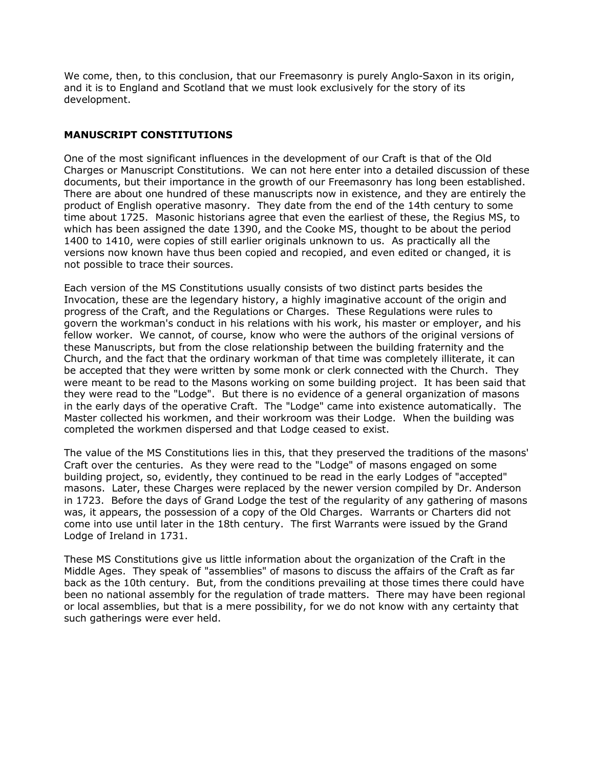We come, then, to this conclusion, that our Freemasonry is purely Anglo-Saxon in its origin, and it is to England and Scotland that we must look exclusively for the story of its development.

## **MANUSCRIPT CONSTITUTIONS**

One of the most significant influences in the development of our Craft is that of the Old Charges or Manuscript Constitutions. We can not here enter into a detailed discussion of these documents, but their importance in the growth of our Freemasonry has long been established. There are about one hundred of these manuscripts now in existence, and they are entirely the product of English operative masonry. They date from the end of the 14th century to some time about 1725. Masonic historians agree that even the earliest of these, the Regius MS, to which has been assigned the date 1390, and the Cooke MS, thought to be about the period 1400 to 1410, were copies of still earlier originals unknown to us. As practically all the versions now known have thus been copied and recopied, and even edited or changed, it is not possible to trace their sources.

Each version of the MS Constitutions usually consists of two distinct parts besides the Invocation, these are the legendary history, a highly imaginative account of the origin and progress of the Craft, and the Regulations or Charges. These Regulations were rules to govern the workman's conduct in his relations with his work, his master or employer, and his fellow worker. We cannot, of course, know who were the authors of the original versions of these Manuscripts, but from the close relationship between the building fraternity and the Church, and the fact that the ordinary workman of that time was completely illiterate, it can be accepted that they were written by some monk or clerk connected with the Church. They were meant to be read to the Masons working on some building project. It has been said that they were read to the "Lodge". But there is no evidence of a general organization of masons in the early days of the operative Craft. The "Lodge" came into existence automatically. The Master collected his workmen, and their workroom was their Lodge. When the building was completed the workmen dispersed and that Lodge ceased to exist.

The value of the MS Constitutions lies in this, that they preserved the traditions of the masons' Craft over the centuries. As they were read to the "Lodge" of masons engaged on some building project, so, evidently, they continued to be read in the early Lodges of "accepted" masons. Later, these Charges were replaced by the newer version compiled by Dr. Anderson in 1723. Before the days of Grand Lodge the test of the regularity of any gathering of masons was, it appears, the possession of a copy of the Old Charges. Warrants or Charters did not come into use until later in the 18th century. The first Warrants were issued by the Grand Lodge of Ireland in 1731.

These MS Constitutions give us little information about the organization of the Craft in the Middle Ages. They speak of "assemblies" of masons to discuss the affairs of the Craft as far back as the 10th century. But, from the conditions prevailing at those times there could have been no national assembly for the regulation of trade matters. There may have been regional or local assemblies, but that is a mere possibility, for we do not know with any certainty that such gatherings were ever held.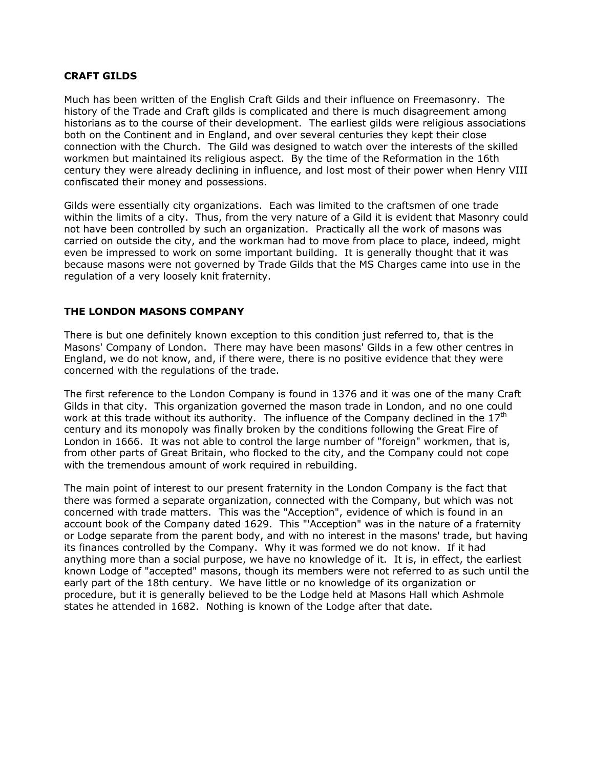### **CRAFT GILDS**

Much has been written of the English Craft Gilds and their influence on Freemasonry. The history of the Trade and Craft gilds is complicated and there is much disagreement among historians as to the course of their development. The earliest gilds were religious associations both on the Continent and in England, and over several centuries they kept their close connection with the Church. The Gild was designed to watch over the interests of the skilled workmen but maintained its religious aspect. By the time of the Reformation in the 16th century they were already declining in influence, and lost most of their power when Henry VIII confiscated their money and possessions.

Gilds were essentially city organizations. Each was limited to the craftsmen of one trade within the limits of a city. Thus, from the very nature of a Gild it is evident that Masonry could not have been controlled by such an organization. Practically all the work of masons was carried on outside the city, and the workman had to move from place to place, indeed, might even be impressed to work on some important building. It is generally thought that it was because masons were not governed by Trade Gilds that the MS Charges came into use in the regulation of a very loosely knit fraternity.

## **THE LONDON MASONS COMPANY**

There is but one definitely known exception to this condition just referred to, that is the Masons' Company of London. There may have been masons' Gilds in a few other centres in England, we do not know, and, if there were, there is no positive evidence that they were concerned with the regulations of the trade.

The first reference to the London Company is found in 1376 and it was one of the many Craft Gilds in that city. This organization governed the mason trade in London, and no one could work at this trade without its authority. The influence of the Company declined in the  $17<sup>th</sup>$ century and its monopoly was finally broken by the conditions following the Great Fire of London in 1666. It was not able to control the large number of "foreign" workmen, that is, from other parts of Great Britain, who flocked to the city, and the Company could not cope with the tremendous amount of work required in rebuilding.

The main point of interest to our present fraternity in the London Company is the fact that there was formed a separate organization, connected with the Company, but which was not concerned with trade matters. This was the "Acception", evidence of which is found in an account book of the Company dated 1629. This "'Acception" was in the nature of a fraternity or Lodge separate from the parent body, and with no interest in the masons' trade, but having its finances controlled by the Company. Why it was formed we do not know. If it had anything more than a social purpose, we have no knowledge of it. It is, in effect, the earliest known Lodge of "accepted" masons, though its members were not referred to as such until the early part of the 18th century. We have little or no knowledge of its organization or procedure, but it is generally believed to be the Lodge held at Masons Hall which Ashmole states he attended in 1682. Nothing is known of the Lodge after that date.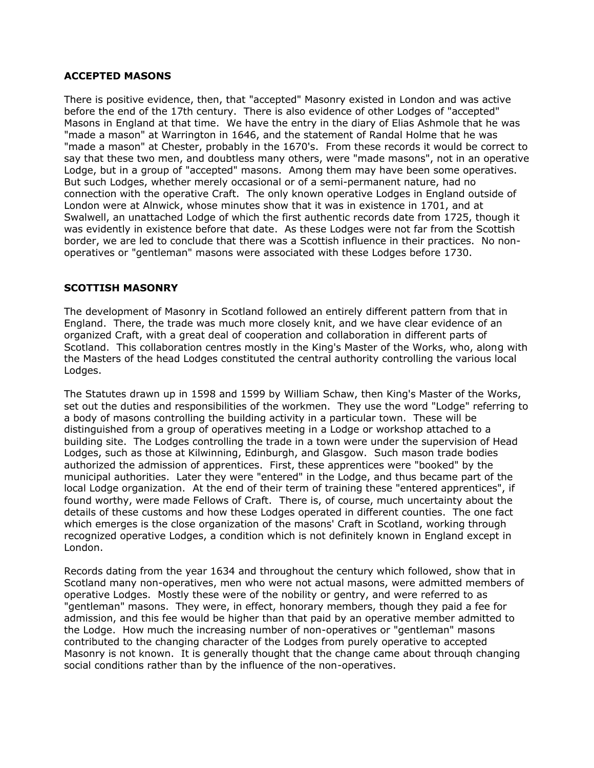## **ACCEPTED MASONS**

There is positive evidence, then, that "accepted" Masonry existed in London and was active before the end of the 17th century. There is also evidence of other Lodges of "accepted" Masons in England at that time. We have the entry in the diary of Elias Ashmole that he was "made a mason" at Warrington in 1646, and the statement of Randal Holme that he was "made a mason" at Chester, probably in the 1670's. From these records it would be correct to say that these two men, and doubtless many others, were "made masons", not in an operative Lodge, but in a group of "accepted" masons. Among them may have been some operatives. But such Lodges, whether merely occasional or of a semi-permanent nature, had no connection with the operative Craft. The only known operative Lodges in England outside of London were at Alnwick, whose minutes show that it was in existence in 1701, and at Swalwell, an unattached Lodge of which the first authentic records date from 1725, though it was evidently in existence before that date. As these Lodges were not far from the Scottish border, we are led to conclude that there was a Scottish influence in their practices. No nonoperatives or "gentleman" masons were associated with these Lodges before 1730.

## **SCOTTISH MASONRY**

The development of Masonry in Scotland followed an entirely different pattern from that in England. There, the trade was much more closely knit, and we have clear evidence of an organized Craft, with a great deal of cooperation and collaboration in different parts of Scotland. This collaboration centres mostly in the King's Master of the Works, who, along with the Masters of the head Lodges constituted the central authority controlling the various local Lodges.

The Statutes drawn up in 1598 and 1599 by William Schaw, then King's Master of the Works, set out the duties and responsibilities of the workmen. They use the word "Lodge" referring to a body of masons controlling the building activity in a particular town. These will be distinguished from a group of operatives meeting in a Lodge or workshop attached to a building site. The Lodges controlling the trade in a town were under the supervision of Head Lodges, such as those at Kilwinning, Edinburgh, and Glasgow. Such mason trade bodies authorized the admission of apprentices. First, these apprentices were "booked" by the municipal authorities. Later they were "entered" in the Lodge, and thus became part of the local Lodge organization. At the end of their term of training these "entered apprentices", if found worthy, were made Fellows of Craft. There is, of course, much uncertainty about the details of these customs and how these Lodges operated in different counties. The one fact which emerges is the close organization of the masons' Craft in Scotland, working through recognized operative Lodges, a condition which is not definitely known in England except in London.

Records dating from the year 1634 and throughout the century which followed, show that in Scotland many non-operatives, men who were not actual masons, were admitted members of operative Lodges. Mostly these were of the nobility or gentry, and were referred to as "gentleman" masons. They were, in effect, honorary members, though they paid a fee for admission, and this fee would be higher than that paid by an operative member admitted to the Lodge. How much the increasing number of non-operatives or "gentleman" masons contributed to the changing character of the Lodges from purely operative to accepted Masonry is not known. It is generally thought that the change came about throuqh changing social conditions rather than by the influence of the non-operatives.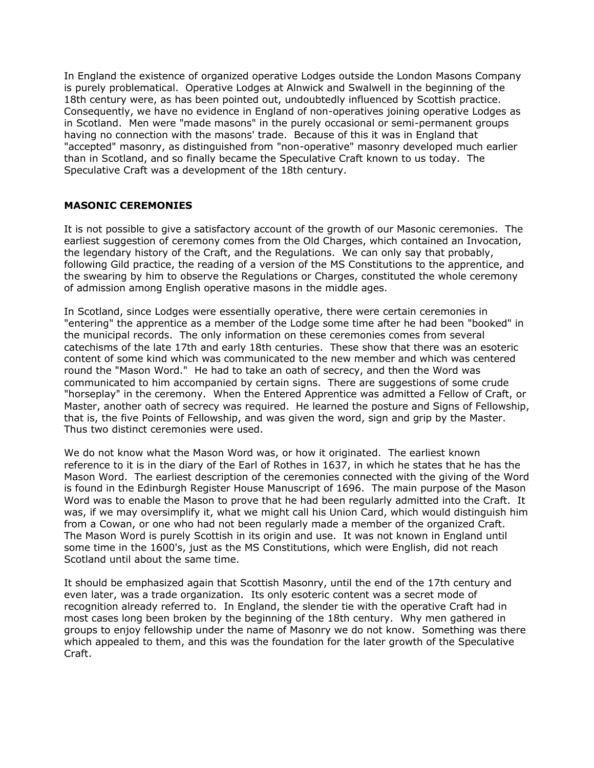In England the existence of organized operative Lodges outside the London Masons Company is purely problematical. Operative Lodges at Alnwick and Swalwell in the beginning of the 18th century were, as has been pointed out, undoubtedly influenced by Scottish practice. Consequently, we have no evidence in England of non-operatives joining operative Lodges as in Scotland. Men were "made masons" in the purely occasional or semi-permanent groups having no connection with the masons' trade. Because of this it was in England that "accepted" masonry, as distinguished from "non-operative" masonry developed much earlier than in Scotland, and so finally became the Speculative Craft known to us today. The Speculative Craft was a development of the 18th century.

# **MASONIC CEREMONIES**

It is not possible to give a satisfactory account of the growth of our Masonic ceremonies. The earliest suggestion of ceremony comes from the Old Charges, which contained an Invocation, the legendary history of the Craft, and the Regulations. We can only say that probably, following Gild practice, the reading of a version of the MS Constitutions to the apprentice, and the swearing by him to observe the Regulations or Charges, constituted the whole ceremony of admission among English operative masons in the middle ages.

In Scotland, since Lodges were essentially operative, there were certain ceremonies in "entering" the apprentice as a member of the Lodge some time after he had been "booked" in the municipal records. The only information on these ceremonies comes from several catechisms of the late 17th and early 18th centuries. These show that there was an esoteric content of some kind which was communicated to the new member and which was centered round the "Mason Word." He had to take an oath of secrecy, and then the Word was communicated to him accompanied by certain signs. There are suggestions of some crude "horseplay" in the ceremony. When the Entered Apprentice was admitted a Fellow of Craft, or Master, another oath of secrecy was required. He learned the posture and Signs of Fellowship, that is, the five Points of Fellowship, and was given the word, sign and grip by the Master. Thus two distinct ceremonies were used.

We do not know what the Mason Word was, or how it originated. The earliest known reference to it is in the diary of the Earl of Rothes in 1637, in which he states that he has the Mason Word. The earliest description of the ceremonies connected with the giving of the Word is found in the Edinburgh Register House Manuscript of 1696. The main purpose of the Mason Word was to enable the Mason to prove that he had been regularly admitted into the Craft. It was, if we may oversimplify it, what we might call his Union Card, which would distinguish him from a Cowan, or one who had not been regularly made a member of the organized Craft. The Mason Word is purely Scottish in its origin and use. It was not known in England until some time in the 1600's, just as the MS Constitutions, which were English, did not reach Scotland until about the same time.

It should be emphasized again that Scottish Masonry, until the end of the 17th century and even later, was a trade organization. Its only esoteric content was a secret mode of recognition already referred to. In England, the slender tie with the operative Craft had in most cases long been broken by the beginning of the 18th century. Why men gathered in groups to enjoy fellowship under the name of Masonry we do not know. Something was there which appealed to them, and this was the foundation for the later growth of the Speculative Craft.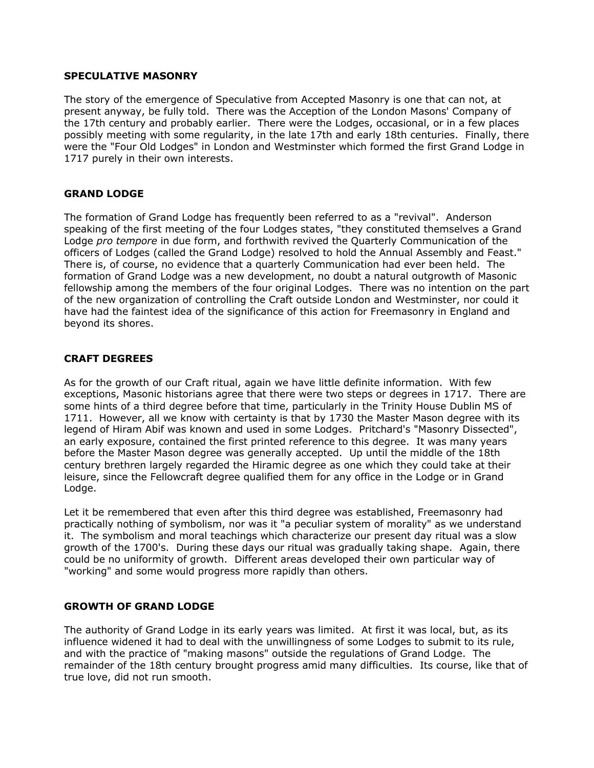### **SPECULATIVE MASONRY**

The story of the emergence of Speculative from Accepted Masonry is one that can not, at present anyway, be fully told. There was the Acception of the London Masons' Company of the 17th century and probably earlier. There were the Lodges, occasional, or in a few places possibly meeting with some regularity, in the late 17th and early 18th centuries. Finally, there were the "Four Old Lodges" in London and Westminster which formed the first Grand Lodge in 1717 purely in their own interests.

## **GRAND LODGE**

The formation of Grand Lodge has frequently been referred to as a "revival". Anderson speaking of the first meeting of the four Lodges states, "they constituted themselves a Grand Lodge *pro tempore* in due form, and forthwith revived the Quarterly Communication of the officers of Lodges (called the Grand Lodge) resolved to hold the Annual Assembly and Feast." There is, of course, no evidence that a quarterly Communication had ever been held. The formation of Grand Lodge was a new development, no doubt a natural outgrowth of Masonic fellowship among the members of the four original Lodges. There was no intention on the part of the new organization of controlling the Craft outside London and Westminster, nor could it have had the faintest idea of the significance of this action for Freemasonry in England and beyond its shores.

## **CRAFT DEGREES**

As for the growth of our Craft ritual, again we have little definite information. With few exceptions, Masonic historians agree that there were two steps or degrees in 1717. There are some hints of a third degree before that time, particularly in the Trinity House Dublin MS of 1711. However, all we know with certainty is that by 1730 the Master Mason degree with its legend of Hiram Abif was known and used in some Lodges. Pritchard's "Masonry Dissected", an early exposure, contained the first printed reference to this degree. It was many years before the Master Mason degree was generally accepted. Up until the middle of the 18th century brethren largely regarded the Hiramic degree as one which they could take at their leisure, since the Fellowcraft degree qualified them for any office in the Lodge or in Grand Lodge.

Let it be remembered that even after this third degree was established, Freemasonry had practically nothing of symbolism, nor was it "a peculiar system of morality" as we understand it. The symbolism and moral teachings which characterize our present day ritual was a slow growth of the 1700's. During these days our ritual was gradually taking shape. Again, there could be no uniformity of growth. Different areas developed their own particular way of "working" and some would progress more rapidly than others.

## **GROWTH OF GRAND LODGE**

The authority of Grand Lodge in its early years was limited. At first it was local, but, as its influence widened it had to deal with the unwillingness of some Lodges to submit to its rule, and with the practice of "making masons" outside the regulations of Grand Lodge. The remainder of the 18th century brought progress amid many difficulties. Its course, like that of true love, did not run smooth.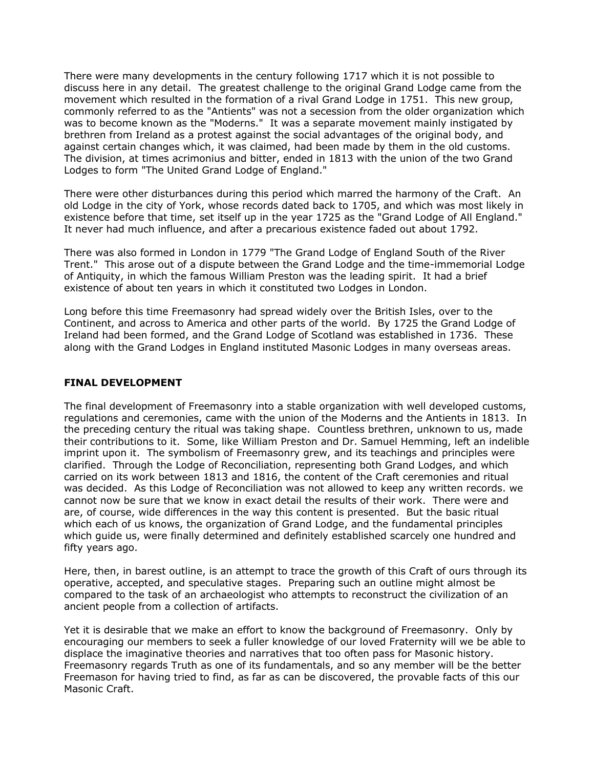There were many developments in the century following 1717 which it is not possible to discuss here in any detail. The greatest challenge to the original Grand Lodge came from the movement which resulted in the formation of a rival Grand Lodge in 1751. This new group, commonly referred to as the "Antients" was not a secession from the older organization which was to become known as the "Moderns." It was a separate movement mainly instigated by brethren from Ireland as a protest against the social advantages of the original body, and against certain changes which, it was claimed, had been made by them in the old customs. The division, at times acrimonius and bitter, ended in 1813 with the union of the two Grand Lodges to form "The United Grand Lodge of England."

There were other disturbances during this period which marred the harmony of the Craft. An old Lodge in the city of York, whose records dated back to 1705, and which was most likely in existence before that time, set itself up in the year 1725 as the "Grand Lodge of All England." It never had much influence, and after a precarious existence faded out about 1792.

There was also formed in London in 1779 "The Grand Lodge of England South of the River Trent." This arose out of a dispute between the Grand Lodge and the time-immemorial Lodge of Antiquity, in which the famous William Preston was the leading spirit. It had a brief existence of about ten years in which it constituted two Lodges in London.

Long before this time Freemasonry had spread widely over the British Isles, over to the Continent, and across to America and other parts of the world. By 1725 the Grand Lodge of Ireland had been formed, and the Grand Lodge of Scotland was established in 1736. These along with the Grand Lodges in England instituted Masonic Lodges in many overseas areas.

### **FINAL DEVELOPMENT**

The final development of Freemasonry into a stable organization with well developed customs, regulations and ceremonies, came with the union of the Moderns and the Antients in 1813. In the preceding century the ritual was taking shape. Countless brethren, unknown to us, made their contributions to it. Some, like William Preston and Dr. Samuel Hemming, left an indelible imprint upon it. The symbolism of Freemasonry grew, and its teachings and principles were clarified. Through the Lodge of Reconciliation, representing both Grand Lodges, and which carried on its work between 1813 and 1816, the content of the Craft ceremonies and ritual was decided. As this Lodge of Reconciliation was not allowed to keep any written records. we cannot now be sure that we know in exact detail the results of their work. There were and are, of course, wide differences in the way this content is presented. But the basic ritual which each of us knows, the organization of Grand Lodge, and the fundamental principles which guide us, were finally determined and definitely established scarcely one hundred and fifty years ago.

Here, then, in barest outline, is an attempt to trace the growth of this Craft of ours through its operative, accepted, and speculative stages. Preparing such an outline might almost be compared to the task of an archaeologist who attempts to reconstruct the civilization of an ancient people from a collection of artifacts.

Yet it is desirable that we make an effort to know the background of Freemasonry. Only by encouraging our members to seek a fuller knowledge of our loved Fraternity will we be able to displace the imaginative theories and narratives that too often pass for Masonic history. Freemasonry regards Truth as one of its fundamentals, and so any member will be the better Freemason for having tried to find, as far as can be discovered, the provable facts of this our Masonic Craft.